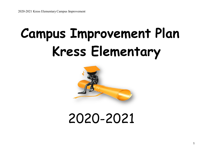# **Campus Improvement Plan Kress Elementary**



# 2020-2021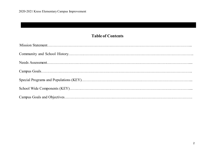# **Table of Contents**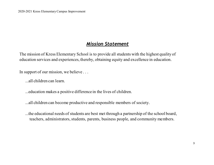# *Mission Statement*

The mission of Kress Elementary School is to provide all students with the highest quality of education services and experiences, thereby, obtaining equity and excellence in education.

In support of our mission, we believe . . .

...all children can learn.

...education makes a positive difference in the lives of children.

...all children can become productive and responsible members of society.

...the educational needs of students are best met through a partnership of the school board, teachers, administrators, students, parents, business people, and community members.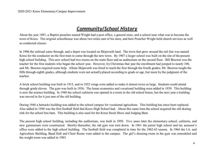# *Community/School History*

About the year 1891, a Baptist preacher named Wright had a post office, a general store, and a school near what was to become the town of Kress. The original schoolhouse was about two miles east of his store, and here Preacher Wright held church services as well as conducted classes.

In 1906 the railroad came through, and a depot was located on Skipworth land. The town that grew around the rail line was named Kress for the conductor on the first train to come through the new town. By 1907 a larger school was built on the site of the present high school building. This new school had two rooms on the main floor and an auditorium on the second floor. Bill Brocton was the teacher for the first students who began the school year. However, b y Christmas that year the enrollment had jumped to nearly 100, and Mr. Brocton required some help. Allene Skipworth was hired to teach the first through the fourth grades; Mr. Brocton taught the fifth through eighth grades, although students were not actually placed according to grade or age, but more by the judgment of the teacher.

A brick school building was built in 1915, and in 1922 wings were added to make it almost twice as large. Students could attend through grade eleven. The gym was built in 1936. The home economics and vocational building were added in 1939. This building is now the science building. In 1940 the school cafeteria was opened in a room in the old school house, but the next year a building was moved in for it just east of the old building.

During 1948 a barracks building was added to the school campus for vocational agriculture. This building has since been replaced. Also added in 1948 was the first football field that Kress High School had. About this same time the school acquired the old skating rink for the school bus barn. This building is also used for the Kress Stock Show and Judging Barn.

The present high school building, including the auditorium, was built in 1950. Five years later the elementary school, cafeteria, and new gymnasium were constructed. Shortly thereafter, the old gym was torn down. In 1961 the junior high school and tax assessor's office were added to the high school building. The football field was completed in time for the 1962-63 season. In 1964 the I.A. and Agriculture Building, Band Hall and Choir Room were added to the campus. The girl's dressing room in the gym was remodeled and the weight room was added in 1983.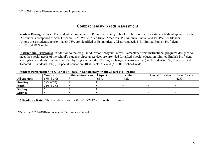#### **Comprehensive Needs Assessment**

**Student Demographics:** The student demographics of Kress Elementary School can be described as a student body of approximately 154 students comprised of 58% Hispanic, 33% White, 8% African American, 1% American Indian and 1% Pacifier Islander. Among these students, approximately 75% are identified as Economically Disadvantaged, 11% Limited English Proficient (LEP) and 18 % mobility.

**Instructional Programs:** In addition to the "regular education" program, Kress Elementary offers instructional programs designed to meet the special needs of the school's students. Special services are provided for gifted, special education, Limited English Proficient, and dyslexia students. Students enrolled by program include: (1) English language learners (ESL) – 19 students-10%, (2) Gifted and Talented – 3 students- 1%, (3) Special Education -10 students-7%, and (4) Title I School-wide.

|                     | Campus    | African American | Hispanic | White | <b>Special Education</b> | Econ. Disadv. |
|---------------------|-----------|------------------|----------|-------|--------------------------|---------------|
| <b>All subjects</b> | 67% (-2%) |                  | 63%      | 78%   |                          | 62%           |
| <b>Reading</b>      | 67% (-2%) |                  |          |       |                          |               |
| <b>Math</b>         | 71% (-2%) |                  |          |       |                          |               |
| <b>Writing</b>      |           |                  |          |       |                          |               |
| <b>Science</b>      |           |                  |          |       |                          |               |

**Student Performance on STAAR at Phase-in Satisfactory or above across all grades:**

**Attendance Rate:** The attendance rate for the 2016-2017 accountability is 96%.

\*Data from 2017-2018Texas Academic Performance Report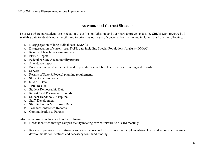#### **Assessment of Current Situation**

To assess where our students are in relation to our Vision, Mission, and our board-approved goals, the SBDM team reviewed all available data to identify our strengths and to prioritize our areas of concerns. Formal review includes data from the following:

- Disaggregation of longitudinal data (DMAC)
- Disaggregation of current-year TAPR data including Special Populations Analysis (DMAC)
- Results of benchmark assessments
- **D** PEIMS Report
- Federal & State Accountability Reports
- Attendance Reports
- $\Box$  Prior year budgets/entitlements and expenditures in relation to current year funding and priorities
- **Q** Surveys
- $\Box$  Results of State & Federal planning requirements
- □ Student retention rates
- STAAR Data
- TPRI Results
- Student Demographic Data
- Report Card Performance Trends
- Student Handbook/Discipline
- Staff Development
- Staff Retention & Turnover Data
- Teacher Conference Records
- Communication to Parents

Informal measures include such as the following:

- Needs identified through campus faculty meeting carried forward to SBDM meetings
- Review of previous year initiatives to determine over-all effectiveness and implementation level and to consider continued development/modifications and necessary continued funding.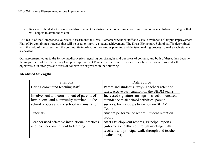Review of the district's vision and discussion at the district level, regarding current information/research-based strategies that will help us to attain the vision

As a result of the Comprehensive Needs Assessment the Kress Elementary School staff and CEIC developed a Campus Improvement Plan (CIP) containing strategies that will be used to improve student achievement. The Kress Elementary School staff is determined, with the help of the parents and the community involved in the campus planning and decision making process, to make each student successful.

Our assessment led us to the following discoveries regarding our strengths and our areas of concern, and both of these, then became the major focus of the Elementary Campus Improvement Plan, either in form of very specific objectives or actions under the objectives. Our strengths and areas of concern are expressed in the following:

#### **Identified Strengths**

| <b>Strengths</b>                               | Data Source                                       |
|------------------------------------------------|---------------------------------------------------|
| Caring committed teaching staff                | Parent and student surveys, Teachers retention    |
|                                                | rates, Active participation on the SBDM teams     |
| Involvement and commitment of parents of       | Increased signatures on sign-in sheets, Increased |
| low income and community members to the        | attendance at all school activities, parent       |
| school process and the school administration   | surveys, Increased participation on SBDM          |
|                                                | Teams                                             |
| Tutorials                                      | Student performance record, Student retention     |
|                                                | record                                            |
| Teacher used effective instructional practices | Staff Development records, Principal reports      |
| and teacher commitment to learning             | (information gathered through meetings with       |
|                                                | teachers and principal walk-through and teacher   |
|                                                | evaluations)                                      |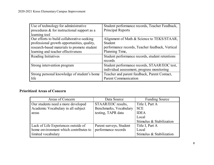| Use of technology for administrative           | Student performance records, Teacher Feedback,  |
|------------------------------------------------|-------------------------------------------------|
| procedures $\&$ for instructional support as a | <b>Principal Reports</b>                        |
| learning tool                                  |                                                 |
| Our efforts to build collaborative-seeking     | Alignment of Math & Science to TEKS/STAAR,      |
| professional growth opportunities, quality,    | Student                                         |
| research-based materials to promote student    | performance records, Teacher feedback, Vertical |
| learning and teacher effectiveness             | Planning Time,                                  |
| Reading Initiatives                            | Student performance records, student retentions |
|                                                | records                                         |
| Strong intervention program                    | Student performance records, STAAR/EOC test,    |
|                                                | individual assessment, progress monitoring      |
| Strong personal knowledge of student's home    | Teacher and parent feedback, Parent Contact,    |
| life                                           | <b>Parent Communication</b>                     |

# **Prioritized Areas of Concern**

| Areas of Concern                      | Data Source             | <b>Funding Source</b>    |
|---------------------------------------|-------------------------|--------------------------|
| Our students need a more developed    | STAAR/EOC results,      | Title I, Part A          |
| Academic Vocabulary in all subject    | Benchmarks, Vocabulary  | <b>SCE</b>               |
| areas                                 | testing, TAPR data      | <b>IDEA</b>              |
|                                       |                         | Local                    |
|                                       |                         | Stimulus & Stabilization |
| Lack of Life Experiences outside of   | Parent surveys, Student | Title I, Part A          |
| home environment which contributes to | performance records     | Local                    |
| limited vocabulary                    |                         | Stimulus & Stabilization |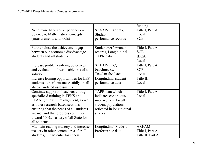|                                         |                           | funding          |
|-----------------------------------------|---------------------------|------------------|
| Need more hands on experiences with     | STAAR/EOC data,           | Title I, Part A  |
| Science & Mathematical concepts         | Student                   | Local            |
| (measurements and tools)                | performance records       | <b>SCE</b>       |
|                                         |                           |                  |
| Further close the achievement gap       | Student performance       | Title I, Part A  |
| between our economic disadvantage       | records, Longitudinal     | <b>SCE</b>       |
| students and all students               | TAPR data                 | <b>IDEA</b>      |
|                                         |                           | Local            |
| Increase problem-solving objectives     | STAAR/EOC,                | Title I, Part A  |
| and evaluation of reasonableness of a   | benchmarks,               | <b>SCE</b>       |
| solution                                | Teacher feedback          | Local            |
| Increase leaning opportunities for LEP  | Longitudinal student      | Title III        |
| students to perform successfully on all | performance data          | Local            |
| state-mandated assessments              |                           |                  |
| Continue support of teachers through    | TAPR data which           | Title I, Part A  |
| specialized training in TEKS and        | indicates continuous      | Local            |
| STAAR; curriculum alignment, as well    | improvement for all       |                  |
| as other research-based sessions        | student populations       |                  |
| ensuring that the needs of all students | reflected in longitudinal |                  |
| are met and that progress continues     | studies                   |                  |
| toward 100% mastery of all State for    |                           |                  |
| all students                            |                           |                  |
| Maintain reading mastery and increase   | Longitudinal Student      | <b>ARI/AMI</b>   |
| mastery in other content areas for all  | Performance data          | Title I, Part A  |
| students, in particular for special     |                           | Title II, Part A |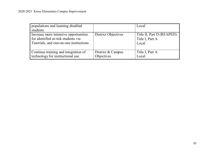| populations and learning disabled<br>students                                                                          |                                 | Local                                                 |  |  |
|------------------------------------------------------------------------------------------------------------------------|---------------------------------|-------------------------------------------------------|--|--|
| Increase more intensive opportunities<br>for identified at-risk students via<br>Tutorials, and one-on-one instructions | District Objectives             | Title II, Part D (REAPED)<br>Title I, Part A<br>Local |  |  |
| Continue training and integration of<br>technology for instructional use                                               | District & Campus<br>Objectives | Title I, Part A<br>Local                              |  |  |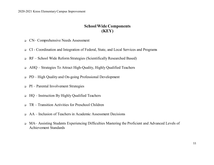#### **School Wide Components (KEY)**

- CN– Comprehensive Needs Assessment
- CI Coordination and Integration of Federal, State, and Local Services and Programs
- RF School Wide Reform Strategies (Scientifically Researched Based)
- AHQ Strategies To Attract High-Quality, Highly Qualified Teachers
- PD High Quality and On-going Professional Development
- $\Box$  PI Parental Involvement Strategies
- $\Box$  HQ Instruction By Highly Qualified Teachers
- TR Transition Activities for Preschool Children
- AA Inclusion of Teachers in Academic Assessment Decisions
- MA– Assisting Students Experiencing Difficulties Mastering the Proficient and Advanced Levels of Achievement Standards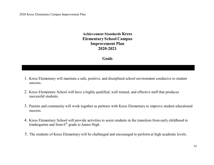#### **Achievement Standards Kress Elementary School Campus Improvement Plan 2020-2021**

#### **Goals**

- 1. Kress Elementary will maintain a safe, positive, and disciplined school environment conducive to student success.
- 2. Kress Elementary School will have a highly qualified, well trained, and effective staff that produces successful students.
- 3. Parents and community will work together as partners with Kress Elementary to improve student educational success.
- 4. Kress Elementary School will provide activities to assist students in the transition from early childhood to kindergarten and from  $6<sup>th</sup>$  grade to Junior High.
- 5. The students of Kress Elementary will be challenged and encouraged to perform at high academic levels.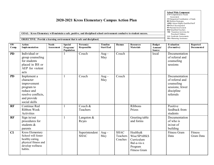| <b>School Wide Component</b>         |
|--------------------------------------|
| CN=Comprehensive Needs               |
| <b>Assessment</b>                    |
| CI=Integration/Coordination of funds |
| <b>RF-Reform Strategies</b>          |
| AHQ=Attract Highly Qualified Staff   |
| <b>PD=Prof.</b> Development          |
| PI=Parental Involvement              |
| HO=Qualified Teachers                |
| $TR =$ Transition Activities for     |
| Preschool Children                   |
| $AA = Acade$ mic Assessments         |
| <b>MA=Mastering Assistance</b>       |

**GOAL: Kress Elementary will maintain a safe, positive, and disciplined school environment conducive to student success.**

#### **OBJECTIVE: Provide a learning environment that is safe and disciplined.**

| SW<br>Comp. | <b>Action</b><br>Implementation                                                                                           | <b>Needs</b><br>Assess ment | <b>Special</b><br>Programs/<br>Population | Person(s)<br>Responsible      | <b>Timeline</b><br><b>Start/End</b> | Human                              | <b>Resources</b><br><b>Materials</b>                                                   | <b>Budget</b><br>Amount/<br><b>Source</b> | <b>Evaluation</b><br>(Formative)                                                             | <b>Reported</b><br>Documented |
|-------------|---------------------------------------------------------------------------------------------------------------------------|-----------------------------|-------------------------------------------|-------------------------------|-------------------------------------|------------------------------------|----------------------------------------------------------------------------------------|-------------------------------------------|----------------------------------------------------------------------------------------------|-------------------------------|
| <b>PD</b>   | Individual or<br>group counseling<br>for students<br>placed in ISS or<br>AEP for violent<br>acts                          |                             |                                           | Couch                         | $Aug -$<br>May                      | Couch                              |                                                                                        | local                                     | Documentation<br>of referral and<br>counseling<br>sessions                                   |                               |
| <b>PD</b>   | Implement a<br>character<br>improvement<br>program to<br>reduce and<br>resolve conflicts,<br>and provide<br>social skills |                             | 1                                         | Couch                         | $Aug -$<br>May                      | Couch                              |                                                                                        |                                           | Documentation<br>of referral and<br>counseling<br>sessions; fewer<br>discipline<br>referrals |                               |
| <b>RF</b>   | Continue Red<br>Ribbon Week<br>Activities                                                                                 |                             | 1                                         | Couch &<br>Teachers           |                                     |                                    | Ribbons<br>Prizes                                                                      |                                           | Positive<br>feedback from<br>students                                                        |                               |
| <b>RF</b>   | Sign in/out<br>procedures for<br>students &<br>parents                                                                    |                             | $\mathbf{1}$                              | Langston &<br>Reyes           |                                     |                                    | Greeting table<br>and forms                                                            |                                           | Documentation<br>of who is<br>in/out of<br>building                                          |                               |
| CI          | Kress Elementary<br>School will foster<br>healthy eating,<br>physical fitness and<br>develop wellness<br>habits.          |                             |                                           | Superintendent<br><b>SHAC</b> | $Aug-$<br>May                       | <b>SHAC</b><br>Teachers<br>Coaches | Healthy&<br>Wise/SPARKS<br>Curriculum<br>Bal-a-vis-x<br>Program<br><b>Fitness Gram</b> |                                           | <b>Fitness Gram</b><br>Data                                                                  | Fitness<br>Gram Data          |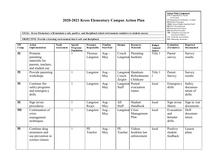| 2020-2021 Kress Elementary Campus Action Plan<br>GOAL: Kress Elementary will maintain a safe, positive, and disciplined school environment conducive to student success.<br><b>OBJECTIVE: Provide a learning environment that is safe and disciplined.</b> |                                                                                |                                   |                                           |                          |                              |                          |                                                |                                           | <b>School Wide Component</b><br>CN=Comprehensive Needs<br>Assessment<br>CI=Integration/Coordination of funds<br><b>RF-Reform Strategies</b><br>AHO=Attract Highly Qualified Staff<br>PD=Prof. Development<br>PI=Parental Involvement<br>HO=Qualified Teachers<br>TR= Transition Activities for<br>Preschool Children<br>AA=Acade mic Assess ments<br>MA=Mastering Assistance |                                           |
|------------------------------------------------------------------------------------------------------------------------------------------------------------------------------------------------------------------------------------------------------------|--------------------------------------------------------------------------------|-----------------------------------|-------------------------------------------|--------------------------|------------------------------|--------------------------|------------------------------------------------|-------------------------------------------|------------------------------------------------------------------------------------------------------------------------------------------------------------------------------------------------------------------------------------------------------------------------------------------------------------------------------------------------------------------------------|-------------------------------------------|
| SW<br>Comp.                                                                                                                                                                                                                                                | <b>Action</b><br><b>I</b> mplementation                                        | <b>Needs</b><br><b>Assessment</b> | <b>Special</b><br>Programs/<br>Population | Person(s)<br>Responsible | <b>Timeline</b><br>Start/End | Human                    | <b>Resources</b><br><b>Materials</b>           | <b>Budget</b><br>Amount/<br><b>Source</b> | <b>Evaluation</b><br>(Formative)                                                                                                                                                                                                                                                                                                                                             | <b>Reported</b><br>Documented             |
| PI                                                                                                                                                                                                                                                         | Promote<br>parenting<br>materials for<br>parents, teachers,<br>and student use |                                   |                                           | Thomas<br>Langston       | Aug $-$<br>May               | Couch                    | Parenting<br>Langston booklets                 | Title 1                                   | Parent<br>survey                                                                                                                                                                                                                                                                                                                                                             | Survey<br>results                         |
| PI                                                                                                                                                                                                                                                         | Provide parenting<br>workshops                                                 |                                   |                                           | Langston                 | Aug $-$<br>May               | Couch<br>Zeigler         | Langston Handouts<br>Refreshments<br>Childcare | Title 1                                   | Parent<br>Survey                                                                                                                                                                                                                                                                                                                                                             | Survey<br>results                         |
| PI                                                                                                                                                                                                                                                         | Continue fire<br>safety programs<br>and emergency<br>drills                    |                                   |                                           | Langston                 | Aug $-$<br>May               | Langston Posted<br>Staff | evacuation<br>routes                           | local                                     | Emergency<br>drills                                                                                                                                                                                                                                                                                                                                                          | Safety<br>documen-<br>tation of<br>drills |
| PI                                                                                                                                                                                                                                                         | Sign in/out<br>procedures                                                      |                                   | $\mathbf{1}$                              | Langston<br>Reyes        | $Aug -$<br>May               | All<br>Staff             | Student<br>Handbook                            | local                                     | Sign in/out<br><b>Sheets</b>                                                                                                                                                                                                                                                                                                                                                 | Sign in /out<br>documents                 |
| <b>PD</b>                                                                                                                                                                                                                                                  | Continuation of<br>crisis<br>management<br>techniques                          |                                   | $\mathbf{1}$                              | Langston                 | Aug $-$<br>May               | Langston                 | Crisis<br>Management<br>Plan                   | local                                     | Evacuation<br>and<br>Intruder<br>drills                                                                                                                                                                                                                                                                                                                                      | <b>Drill</b><br>documen-<br>tation        |
| PI                                                                                                                                                                                                                                                         | Continue drug<br>awareness and<br>use prevention in<br>science classes         |                                   | $\mathbf{1}$                              | PE<br>Teacher            | Aug $-$<br>May               | PE<br>Teacher            | Videos<br>booklets law<br>enforcement          | local                                     | Positive<br>student<br>feedback                                                                                                                                                                                                                                                                                                                                              | Lesson<br>plans                           |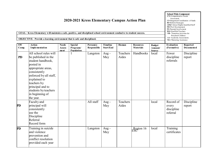| 2020-2021 Kress Elementary Campus Action Plan<br>GOAL: Kress Elementary will maintain a safe, positive, and disciplined school environment conducive to student success.<br>OBJECTIVE: Provide a learning environment that is safe and disciplined. |                                                                                                                                                                                                                                                           |                                       |                                           |                          |                              |                   |                                      |                                           | <b>School Wide Component</b><br>CN=Comprehensive Needs<br><b>Assessment</b><br>CI=Integration/Coordination of funds<br><b>RF-Reform Strategies</b><br>AHQ=Attract Highly Qualified Staff<br><b>PD=Prof.</b> Development<br>PI=Parental Involvement<br>HQ=Qualified Teachers<br>TR= Transition Activities for<br>Preschool Children<br>AA=Academic Assessments<br><b>MA=Mastering Assistance</b> |                               |
|-----------------------------------------------------------------------------------------------------------------------------------------------------------------------------------------------------------------------------------------------------|-----------------------------------------------------------------------------------------------------------------------------------------------------------------------------------------------------------------------------------------------------------|---------------------------------------|-------------------------------------------|--------------------------|------------------------------|-------------------|--------------------------------------|-------------------------------------------|-------------------------------------------------------------------------------------------------------------------------------------------------------------------------------------------------------------------------------------------------------------------------------------------------------------------------------------------------------------------------------------------------|-------------------------------|
| <b>SW</b><br>Comp.                                                                                                                                                                                                                                  | <b>Action</b><br><b>I</b> mplementation                                                                                                                                                                                                                   | <b>Needs</b><br><b>Assess</b><br>ment | <b>Special</b><br>Programs/<br>Population | Person(s)<br>Responsible | Timeline<br><b>Start/End</b> | Human             | <b>Resources</b><br><b>Materials</b> | <b>Budget</b><br>Amount/<br><b>Source</b> | Evaluation<br>(Formative)                                                                                                                                                                                                                                                                                                                                                                       | Reported<br><b>Documented</b> |
| <b>PD</b>                                                                                                                                                                                                                                           | All school rules will<br>be published in the<br>student handbook,<br>posted in<br>appropriate areas,<br>consistently<br>enforced by all staff,<br>explained to<br>teachers by<br>principal and to<br>students by teachers<br>in beginning of<br>the year. |                                       |                                           | Langston                 | Aug-<br>May                  | Teachers<br>Aides | Handbooks                            | local                                     | Fewer<br>discipline<br>referrals                                                                                                                                                                                                                                                                                                                                                                | Discipline<br>report          |
| <b>PD</b>                                                                                                                                                                                                                                           | Faculty and<br>principal will<br>consistently<br>use the<br>Discipline<br>Referral<br>Record form                                                                                                                                                         |                                       |                                           | All staff                | Aug-<br>May                  | Teachers<br>Aides |                                      | local                                     | Record of<br>every<br>discipline<br>referral                                                                                                                                                                                                                                                                                                                                                    | Discipline<br>report          |
| <b>PD</b>                                                                                                                                                                                                                                           | Training in suicide<br>and violence<br>prevention and<br>conflict resolution<br>provided each year                                                                                                                                                        |                                       |                                           | Langston                 | Aug-<br>May                  |                   | Region 16                            | local                                     | $\overline{\text{Training}}$<br>certificates                                                                                                                                                                                                                                                                                                                                                    |                               |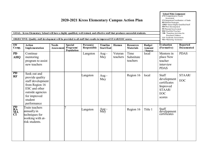| 2020-2021 Kress Elementary Campus Action Plan<br>GOAL: Kress Elementary School will have a highly qualified, well trained, and effective staff that produces successful students.<br>OBJECTIVE: Quality staff development will be provided to all staff that results in improved STAAR/EOC scores. |                                                                                                                                                       |                             |                                           |                                 |                              |                     |                                      |                                    |                                                                                    | <b>School Wide Component</b><br>CN=Comprehensive Needs<br>Assessment<br>CI=Integration/Coordination of funds<br><b>RF-Reform Strategies</b><br>AHQ=Attract Highly Qualified Staff<br>PD=Prof. Development<br>PI=Parental Involvement<br>HO=Oualified Teachers<br>TR= Transition Activities for<br>Preschool Children<br>AA=Academic Assessments<br>MA=Mastering Assistance |  |
|----------------------------------------------------------------------------------------------------------------------------------------------------------------------------------------------------------------------------------------------------------------------------------------------------|-------------------------------------------------------------------------------------------------------------------------------------------------------|-----------------------------|-------------------------------------------|---------------------------------|------------------------------|---------------------|--------------------------------------|------------------------------------|------------------------------------------------------------------------------------|----------------------------------------------------------------------------------------------------------------------------------------------------------------------------------------------------------------------------------------------------------------------------------------------------------------------------------------------------------------------------|--|
| SW<br>Comp.                                                                                                                                                                                                                                                                                        | <b>Action</b><br><b>I</b> mplementation                                                                                                               | <b>Needs</b><br>Assess ment | <b>Special</b><br>Programs/<br>Population | Person(s)<br><b>Responsible</b> | Timeline<br><b>Start/End</b> | Human               | <b>Resources</b><br><b>Materials</b> | <b>Budget</b><br>Amount<br>/Source | <b>Evaluation</b><br>(Formative)                                                   | <b>Reported</b><br><b>Documented</b>                                                                                                                                                                                                                                                                                                                                       |  |
| <b>PD</b><br><b>AHQ</b>                                                                                                                                                                                                                                                                            | Continue<br>mentoring<br>program to assist<br>new teachers                                                                                            |                             |                                           | Langston                        | Aug-<br>May                  | Veteran<br>teachers | Time<br>Substitute<br>teachers       | local                              | Mentors in<br>place New<br>teacher<br>interview<br><b>PDAS</b>                     | <b>PDAS</b>                                                                                                                                                                                                                                                                                                                                                                |  |
| PD<br><b>RF</b>                                                                                                                                                                                                                                                                                    | Seek out and<br>provide quality<br>staff development<br>from Region 16<br>ESC and other<br>outside agencies<br>for improved<br>student<br>performance |                             |                                           | Langston                        | Aug -<br>May                 |                     | Region 16                            | local                              | Staff<br>development<br>certificates<br>Improved<br>STAAR/<br><b>EOC</b><br>scores | STAAR/<br><b>EOC</b>                                                                                                                                                                                                                                                                                                                                                       |  |
| PD<br>RA<br>MA<br>CI                                                                                                                                                                                                                                                                               | Train teachers<br>annually in<br>techniques for<br>working with at-<br>risk students.                                                                 |                             |                                           | Langston                        | Aug -<br>May                 |                     | Region 16                            | Title 1                            | Staff<br>development<br>certificates                                               |                                                                                                                                                                                                                                                                                                                                                                            |  |

П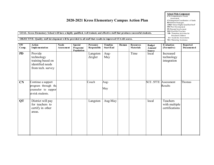| GOAL: Kress Elementary School will have a highly qualified, well trained, and effective staff that produces successful students.<br><b>OBJECTIVE: Quality staff development will be provided to all staff that results in improved STAAR scores.</b> | <b>School Wide Component</b><br>CN=Comprehensive Needs<br>Assessment<br>CI=Integration/Coordination of funds<br><b>RF-Reform Strategies</b><br>AHQ=Attract Highly Qualified Staff<br>PD=Prof. Development<br>PI=Parental Involvement<br>HQ=Qualified Teachers<br>TR= Transition Activities for<br>Preschool Children<br>$AA = Acade$ mic Assessments<br>MA=Mastering Assistance |                             |                                           |                          |                              |       |                                      |                                           |                                             |                        |
|------------------------------------------------------------------------------------------------------------------------------------------------------------------------------------------------------------------------------------------------------|---------------------------------------------------------------------------------------------------------------------------------------------------------------------------------------------------------------------------------------------------------------------------------------------------------------------------------------------------------------------------------|-----------------------------|-------------------------------------------|--------------------------|------------------------------|-------|--------------------------------------|-------------------------------------------|---------------------------------------------|------------------------|
| SW<br>Comp.                                                                                                                                                                                                                                          | <b>Action</b><br><b>I</b> mplementation                                                                                                                                                                                                                                                                                                                                         | <b>Needs</b><br>Assess ment | <b>Special</b><br>Programs/<br>Population | Person(s)<br>Responsible | <b>Timeline</b><br>Start/End | Human | <b>Resources</b><br><b>Materials</b> | <b>Budget</b><br>Amount/<br><b>Source</b> | <b>Evaluation</b><br>(Formative)            | Reported<br>Documented |
| <b>PD</b>                                                                                                                                                                                                                                            | Provide<br>technology<br>training based on<br>identified needs<br>from tech. survey                                                                                                                                                                                                                                                                                             |                             |                                           | Langston<br>Zeigler      | Aug-<br>May                  |       | Time                                 | local                                     | Increased<br>technology<br>integration      |                        |
| CN                                                                                                                                                                                                                                                   | Continue a support<br>program through the<br>counselor to suppor<br>at-risk students.                                                                                                                                                                                                                                                                                           |                             |                                           | Couch                    | Aug-<br>May                  |       |                                      | <b>SCE .5FTE</b>                          | Assessment<br>Results                       | Thomas                 |
| <b>QT</b>                                                                                                                                                                                                                                            | District will pay<br>for teachers to<br>certify in other<br>areas.                                                                                                                                                                                                                                                                                                              |                             |                                           | Langston                 | Aug-May                      |       |                                      | local                                     | Teachers<br>with multiple<br>certifications |                        |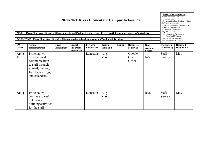|                    | GOAL: Kress Elementary School will have a highly qualified, well trained, and effective staff that produces successful students.<br><b>OBJECTIVE:</b> Kress Elementary School will foster good relationships a mong staff and administration. |                                   |                                           |                          |                                     |       |                                      |                                           | <b>RF-Reform Strategies</b><br>AHQ=Attract Highly Qualified Staff<br>PD=Prof. Development<br>PI=Parental Involvement<br>HQ=Qualified Teachers<br>TR= Transition Activities for<br>Preschool Children<br>$AA = Acade$ mic Assessments<br>MA=Mastering Assistance |                        |  |
|--------------------|-----------------------------------------------------------------------------------------------------------------------------------------------------------------------------------------------------------------------------------------------|-----------------------------------|-------------------------------------------|--------------------------|-------------------------------------|-------|--------------------------------------|-------------------------------------------|-----------------------------------------------------------------------------------------------------------------------------------------------------------------------------------------------------------------------------------------------------------------|------------------------|--|
| <b>SW</b><br>Comp. | <b>Action</b><br>Implementation                                                                                                                                                                                                               | <b>Needs</b><br><b>Assessment</b> | <b>Special</b><br>Programs/<br>Population | Person(s)<br>Responsible | <b>Timeline</b><br><b>Start/End</b> | Human | <b>Resources</b><br><b>Materials</b> | <b>Budget</b><br>Amount/<br><b>Source</b> | <b>Evaluation</b><br>(Formative)                                                                                                                                                                                                                                | Reported<br>Documented |  |
| <b>AHQ</b><br>PI   | Principal will<br>provide good<br>communication<br>to staff through<br>e- mail, memos,<br>faculty meetings,<br>and calendars.                                                                                                                 |                                   |                                           | Langston                 | Aug-<br>May                         |       | Google<br>Open<br>Office             | local                                     | Staff<br>Survey                                                                                                                                                                                                                                                 | May                    |  |
| <b>AHQ</b>         | Principal will<br>continue to seek<br>out morale<br>building activities<br>for the staff                                                                                                                                                      |                                   |                                           | Langston                 | Aug $-$<br>May                      |       |                                      | local                                     | Staff<br>Survey                                                                                                                                                                                                                                                 | May                    |  |

**School Wide Component CN=**Comprehensive Needs

Assessment<br>**CI**=Integration/Coordination of funds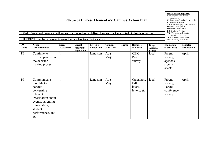|                    | GOAL: Parents and community will work together as partners with Kress Elementary to improve student educational success.<br>OBJECTIVE: Involve the parents in supporting the education of their children. | As sessment<br>CI=Integration/Coordination of funds<br><b>RF-Reform Strategies</b><br>AHQ=Attract Highly Qualified Staff<br>PD=Prof. Development<br>PI=Parental Involvement<br>HQ=Qualified Teachers<br><b>TR</b> = Transition Activities for<br>Preschool Children<br>AA=Academic Assessments<br>MA=Mastering Assistance |                                           |                          |                              |       |                                                     |                                           |                                                     |                               |
|--------------------|-----------------------------------------------------------------------------------------------------------------------------------------------------------------------------------------------------------|---------------------------------------------------------------------------------------------------------------------------------------------------------------------------------------------------------------------------------------------------------------------------------------------------------------------------|-------------------------------------------|--------------------------|------------------------------|-------|-----------------------------------------------------|-------------------------------------------|-----------------------------------------------------|-------------------------------|
| <b>SW</b><br>Comp. | <b>Action</b><br><b>I</b> mplementation                                                                                                                                                                   | <b>Needs</b><br><b>Assessment</b>                                                                                                                                                                                                                                                                                         | <b>Special</b><br>Programs/<br>Population | Person(s)<br>Responsible | <b>Timeline</b><br>Start/End | Human | <b>Resources</b><br><b>Materials</b>                | <b>Budget</b><br>Amount/<br><b>Source</b> | <b>Evaluation</b><br>(Formative)                    | <b>Reported</b><br>Documented |
| PI                 | Continue to<br>involve parents in<br>the decision<br>making process                                                                                                                                       |                                                                                                                                                                                                                                                                                                                           |                                           | Langston                 | Aug $-$<br>May               |       | <b>CEIC</b><br>Parent<br>survey                     | local                                     | Parent<br>survey,<br>agendas,<br>sign in<br>sheets  | April                         |
| PI                 | Communicate<br>monthly to<br>parents<br>concerning<br>relevant<br>information about<br>events, parenting<br>information,<br>student<br>performance, and<br>etc.                                           |                                                                                                                                                                                                                                                                                                                           |                                           | Langston                 | Aug -<br>May                 |       | Calendars,<br><b>Bill</b><br>board,<br>letters, etc | local                                     | Parent<br>survey,<br>Parent<br>conference<br>survey | April                         |

**School Wide Component CN=**Comprehensive Needs Assessment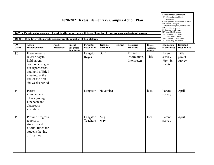| GOAL: Parents and community will work together as partners with Kress Elementary to improve student educational success.<br>OBJECTIVE: Involve the parents in supporting the education of their children. |                                                                                                                                                                           | <b>School Wide Component</b><br>CN=Comprehensive Needs<br>Assessment<br>CI=Integration/Coordination of funds<br><b>RF-Reform Strategies</b><br>AHQ=Attract Highly Qualified Staff<br>PD=Prof. Development<br>PI=Parental Involvement<br>HO=Qualified Teachers<br><b>TR</b> = Transition Activities for<br>Preschool Children<br>AA=Acade mic Assessments<br>MA=Mastering Assistance |                                           |                          |                              |       |                                         |                                           |                                        |                             |
|-----------------------------------------------------------------------------------------------------------------------------------------------------------------------------------------------------------|---------------------------------------------------------------------------------------------------------------------------------------------------------------------------|-------------------------------------------------------------------------------------------------------------------------------------------------------------------------------------------------------------------------------------------------------------------------------------------------------------------------------------------------------------------------------------|-------------------------------------------|--------------------------|------------------------------|-------|-----------------------------------------|-------------------------------------------|----------------------------------------|-----------------------------|
| SW<br>Comp.                                                                                                                                                                                               | <b>Action</b><br><b>I</b> mplementation                                                                                                                                   | <b>Needs</b><br><b>Assessment</b>                                                                                                                                                                                                                                                                                                                                                   | <b>Special</b><br>Programs/<br>Population | Person(s)<br>Responsible | Timeline<br><b>Start/End</b> | Human | <b>Resources</b><br><b>Materials</b>    | <b>Budget</b><br>Amount/<br><b>Source</b> | Evaluation<br>(Formative)              | Reported<br>Documented      |
| PI                                                                                                                                                                                                        | Have an early<br>release day to<br>hold parent<br>conferences, give<br>out report cards,<br>and hold a Title I<br>meeting, at the<br>end of the first<br>six weeks period |                                                                                                                                                                                                                                                                                                                                                                                     |                                           | Langston<br>Reyes        | Oct 1                        |       | Printed<br>information,<br>interpreters | Title 1                                   | Parent<br>survey,<br>Sign in<br>sheets | Title I<br>parent<br>survey |
| PI                                                                                                                                                                                                        | Parent<br>involvement<br>Thanksgiving<br>luncheon and<br>classroom<br>visitation                                                                                          |                                                                                                                                                                                                                                                                                                                                                                                     |                                           | Langston                 | November                     |       |                                         | local                                     | Parent<br>survey                       | April                       |
| PI                                                                                                                                                                                                        | Provide progress<br>reports to<br>students and<br>tutorial times for<br>students having<br>difficulties                                                                   |                                                                                                                                                                                                                                                                                                                                                                                     |                                           | Langston<br>Teachers     | $Aug -$<br>May               |       |                                         | local                                     | Parent<br>survey                       | April                       |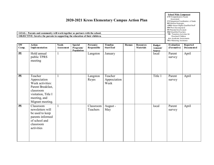|                    | GOAL: Parents and community will work together as partners with the school.<br>OBJECTIVE: Involve the parents in supporting the education of their children. |                             | <b>School Wide Component</b><br>CN=Comprehensive Needs<br>Assessment<br>CI=Integration/Coordination of funds<br><b>RF-Reform Strategies</b><br>AHQ=Attract Highly Qualified Staff<br>PD=Prof. Development<br>PI=Parental Involvement<br>HQ=Qualified Teachers<br>TR= Transition Activities for<br>Preschool Children<br>AA=Academic Assessments<br>MA=Mastering Assistance |                          |                                     |       |                                      |                                    |                           |                               |
|--------------------|--------------------------------------------------------------------------------------------------------------------------------------------------------------|-----------------------------|----------------------------------------------------------------------------------------------------------------------------------------------------------------------------------------------------------------------------------------------------------------------------------------------------------------------------------------------------------------------------|--------------------------|-------------------------------------|-------|--------------------------------------|------------------------------------|---------------------------|-------------------------------|
| <b>SW</b><br>Comp. | <b>Action</b><br>Implementation                                                                                                                              | <b>Needs</b><br>Assess ment | <b>Special</b><br>Programs/<br>Population                                                                                                                                                                                                                                                                                                                                  | Person(s)<br>Responsible | <b>Timeline</b><br><b>Start/End</b> | Human | <b>Resources</b><br><b>Materials</b> | <b>Budget</b><br>Amount/<br>Source | Evaluation<br>(Formative) | <b>Reported</b><br>Documented |
| PI                 | Hold annual<br>public TPRS<br>meeting                                                                                                                        | 1                           |                                                                                                                                                                                                                                                                                                                                                                            | Langston                 | January                             |       |                                      | local                              | Parent<br>survey          | April                         |
| PI                 | Teacher<br>Appreciation<br>Week activities:<br>Parent Breakfast,<br>classroom<br>visitation, Title I<br>meeting, and<br>Migrant meeting.                     | -1                          |                                                                                                                                                                                                                                                                                                                                                                            | Langston<br>Reyes        | Teacher<br>Appreciation<br>Week     |       |                                      | Title 1                            | Parent<br>survey          | April                         |
| PI                 | Classroom<br>newsletters will<br>be used to keep<br>parents informed<br>of school and<br>classroom<br>activities                                             | $\mathbf{1}$                |                                                                                                                                                                                                                                                                                                                                                                            | Classroom<br>Teachers    | August -<br>May                     |       |                                      | local                              | Parent<br>survey          | April                         |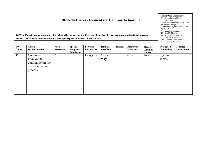**GOAL: Parents and community will work together as partners with Kress Elementary to improve student educational success. OBJECTIVE: Involve the community in supporting the education of our students.**

| <b>SW</b> | Action                 | <b>Needs</b>   | <b>Special</b>    | Person(s)   | Timeline         | Human | <b>Resources</b> | <b>Budget</b> | Evaluation  | Reported   |
|-----------|------------------------|----------------|-------------------|-------------|------------------|-------|------------------|---------------|-------------|------------|
| Comp.     | <b>I</b> mplementation | Assess ment    | Programs/         | Responsible | <b>Start/End</b> |       | <b>Materials</b> | Amount/       | (Formative) | Documented |
|           |                        |                | <b>Population</b> |             |                  |       |                  | <b>Source</b> |             |            |
| PI        | Continue to            | $\overline{2}$ |                   | Langston    | Aug -            |       | <b>CEIC</b>      | local         | Sign in     |            |
|           | involve the            |                |                   |             | May              |       |                  |               | sheets      |            |
|           | community in the       |                |                   |             |                  |       |                  |               |             |            |
|           | decision making        |                |                   |             |                  |       |                  |               |             |            |
|           | process                |                |                   |             |                  |       |                  |               |             |            |
|           |                        |                |                   |             |                  |       |                  |               |             |            |
|           |                        |                |                   |             |                  |       |                  |               |             |            |
|           |                        |                |                   |             |                  |       |                  |               |             |            |
|           |                        |                |                   |             |                  |       |                  |               |             |            |
|           |                        |                |                   |             |                  |       |                  |               |             |            |
|           |                        |                |                   |             |                  |       |                  |               |             |            |

**School Wide Component CN=**Comprehensive Needs Assessment **CI=**Integration/Coordination o f funds **RF-**Reform Strate gies **AHQ=**Attract Highly Qualified Sta ff **PD=**Pro f. Developme nt **PI=**Parental Involveme nt **HQ=**Qualified Teachers **TR**= Transition Activit ies for Preschool Children **AA**=Acade mic Assessments

**MA**=Mastering Assista nce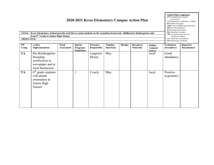| <b>OBJECTIVE:</b>  | GOAL: Kress Elementary School provide activities to assist students in the transition from early childhood to kindergarten and<br>from 6 <sup>th</sup> Grade to Junior High School. |                                   | <b>RF-Reform Strategies</b><br>AHQ=Attract Highly Qualified Staff<br>PD=Prof. Development<br>PI=Parental Involvement<br>HQ=Qualified Teachers<br>TR= Transition Activities for<br>Preschool Children<br>$AA = Acade$ mic Assessments<br>MA=Mastering Assistance |                          |                              |       |                                      |                                            |                                  |                                      |
|--------------------|-------------------------------------------------------------------------------------------------------------------------------------------------------------------------------------|-----------------------------------|-----------------------------------------------------------------------------------------------------------------------------------------------------------------------------------------------------------------------------------------------------------------|--------------------------|------------------------------|-------|--------------------------------------|--------------------------------------------|----------------------------------|--------------------------------------|
| <b>SW</b><br>Comp. | <b>Action</b><br><b>I</b> mplementation                                                                                                                                             | <b>Needs</b><br><b>Assessment</b> | <b>Special</b><br>Programs/<br>Population                                                                                                                                                                                                                       | Person(s)<br>Responsible | <b>Timeline</b><br>Start/End | Human | <b>Resources</b><br><b>Materials</b> | <b>Budget</b><br>A mount/<br><b>Source</b> | <b>Evaluation</b><br>(Formative) | <b>Reported</b><br><b>Documented</b> |
| <b>TA</b>          | Pre-Kindergarten<br>Roundup<br>notification in<br>newspaper and at<br>local businesses                                                                                              |                                   |                                                                                                                                                                                                                                                                 | Langston<br>Moore        | May                          |       |                                      | local                                      | Good<br>attendance               |                                      |
| <b>TA</b>          | $6th$ grade students<br>will attend<br>orientation at<br>Junior High<br>School                                                                                                      |                                   |                                                                                                                                                                                                                                                                 | Couch                    | May                          |       |                                      | local                                      | Positive<br>experience           |                                      |

**School Wide Component CN=**Comprehensive Needs Assessment **CI=**Integration/Coordination o f funds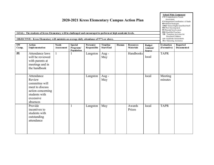|             | GOAL: The students of Kress Elementary will be challenged and encouraged to perform at high academic levels.<br>OBJECTIVE: Kress Elementary will maintain an average daily attendance of 97% or above. |                                   |                                           |                          |                                     |       | 2020-2021 Kress Elementary Campus Action Plan |                                           | CN=Comprehensive Needs<br>Assessment<br>CI=Integration/Coordination of funds<br><b>RF-Reform Strategies</b><br>AHQ=Attract Highly Qualified Staff<br>PD=Prof. Development<br>PI=Parental Involvement<br>HQ=Qualified Teachers<br>TR= Transition Activities for<br>Preschool Children<br>$AA = Acade$ mic Assessments<br>MA=Mastering Assistance |                        |
|-------------|--------------------------------------------------------------------------------------------------------------------------------------------------------------------------------------------------------|-----------------------------------|-------------------------------------------|--------------------------|-------------------------------------|-------|-----------------------------------------------|-------------------------------------------|-------------------------------------------------------------------------------------------------------------------------------------------------------------------------------------------------------------------------------------------------------------------------------------------------------------------------------------------------|------------------------|
| SW<br>Comp. | <b>Action</b><br><b>I</b> mplementation                                                                                                                                                                | <b>Needs</b><br><b>Assessment</b> | <b>Special</b><br>Programs/<br>Population | Person(s)<br>Responsible | <b>Timeline</b><br><b>Start/End</b> | Human | <b>Resources</b><br><b>Materials</b>          | <b>Budget</b><br>Amount/<br><b>Source</b> | <b>Evaluation</b><br>(Formative)                                                                                                                                                                                                                                                                                                                | Reported<br>Documented |
| PI          | Attendance laws<br>will be reviewed<br>with parents at<br>meetings and in<br>the handbook                                                                                                              | $\mathbf{1}$                      | $\mathbf{1}$                              | Langston                 | Aug-<br>May                         |       | Handbooks                                     | local                                     | <b>TAPR</b>                                                                                                                                                                                                                                                                                                                                     |                        |
|             | Attendance<br>Review<br>committee will<br>meet to discuss<br>action concerning<br>students with<br>excessive<br>absences                                                                               |                                   |                                           | Langston                 | Aug-<br>May                         |       |                                               | local                                     | Meeting<br>minutes                                                                                                                                                                                                                                                                                                                              |                        |
|             | Provide<br>incentives to<br>students with<br>outstanding<br>attendance                                                                                                                                 |                                   | $\mathbf{1}$                              | Langston                 | May                                 |       | Awards<br>Prizes                              | local                                     | <b>TAPR</b>                                                                                                                                                                                                                                                                                                                                     |                        |

**School Wide Component**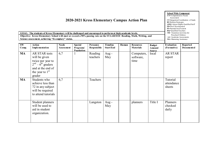|                    | GOAL: The students of Kress Elementary will be challenged and encouraged to perform at high academic levels.<br>Objective: Kress Elementary School will meet or exceed a 90% passing rate on the STAAR/EOC Reading, Math, Writing, and<br>Science assessment, achieving "Exemplary" status. | <b>School Wide Component</b><br>CN=Comprehensive Needs<br>Assessment<br>CI=Integration/Coordination of funds<br><b>RF-Reform Strategies</b><br>AHQ=Attract Highly Qualified Staff<br>PD=Prof. Development<br><b>PI=Parental Involvement</b><br>HO=Qualified Teachers<br>TR= Transition Activities for<br>Preschool Children<br>$AA = Acade$ mic Assessments<br>MA=Mastering Assistance |                                                  |                          |                              |       |                                      |                                            |                                  |                               |
|--------------------|---------------------------------------------------------------------------------------------------------------------------------------------------------------------------------------------------------------------------------------------------------------------------------------------|----------------------------------------------------------------------------------------------------------------------------------------------------------------------------------------------------------------------------------------------------------------------------------------------------------------------------------------------------------------------------------------|--------------------------------------------------|--------------------------|------------------------------|-------|--------------------------------------|--------------------------------------------|----------------------------------|-------------------------------|
| <b>SW</b><br>Comp. | <b>Action</b><br><b>I</b> mplementation                                                                                                                                                                                                                                                     | <b>Needs</b><br>Assess ment                                                                                                                                                                                                                                                                                                                                                            | <b>Special</b><br>Programs/<br><b>Population</b> | Person(s)<br>Responsible | Timeline<br><b>Start/End</b> | Human | <b>Resources</b><br><b>Materials</b> | <b>Budget</b><br>A mount/<br><b>Source</b> | <b>Evaluation</b><br>(Formative) | <b>Reported</b><br>Documented |
| <b>MA</b>          | <b>AR STAR tests</b><br>will be given<br>twice per year to<br>$2nd - 6th$ graders<br>and at the end of<br>the year to $1st$<br>grader                                                                                                                                                       | 6,7                                                                                                                                                                                                                                                                                                                                                                                    |                                                  | Reading<br>teachers      | Aug $-$<br>May               |       | Computers,<br>software,<br>time      | local                                      | <b>AR STAR</b><br>report         |                               |
| <b>MA</b>          | Students who<br>achieve less than<br>72 in any subject<br>will be required<br>to attend tutorials                                                                                                                                                                                           | 6,7                                                                                                                                                                                                                                                                                                                                                                                    |                                                  | Teachers                 |                              |       |                                      |                                            | Tutorial<br>attendance<br>sheets |                               |
|                    | Student planners<br>will be used to<br>aid in student<br>organization.                                                                                                                                                                                                                      |                                                                                                                                                                                                                                                                                                                                                                                        |                                                  | Langston                 | Aug -<br>May                 |       | planners                             | Title I                                    | Planners<br>checked<br>daily     |                               |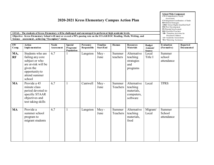**GOAL: The students of Kress Elementary will be challenged and encouraged to perform at high academic levels. Objective: Kress Elementary School will meet or exceed a 90% passing rate on the STAAR/EOC Reading, Math, Writing, and Science assessment , achieving "Exemplary" status.**

| SW<br>Comp. | <b>Action</b><br><b>I</b> mplementation                                                                                                 | <b>Needs</b><br><b>Assessment</b> | <b>Special</b><br>Programs/<br>Population | Person(s)<br>Responsible | Timeline<br>Start/End | Human              | <b>Resources</b><br><b>Materials</b>                            | <b>Budget</b><br>Amount/<br><b>Source</b> | <b>Evaluation</b><br>(Formative) | <b>Reported</b><br>Documented |
|-------------|-----------------------------------------------------------------------------------------------------------------------------------------|-----------------------------------|-------------------------------------------|--------------------------|-----------------------|--------------------|-----------------------------------------------------------------|-------------------------------------------|----------------------------------|-------------------------------|
| MA,<br>RF   | Students who are<br>failing any core<br>subject or who<br>are at-risk will be<br>given the<br>opportunity to<br>attend summer<br>school | 6,7                               |                                           | Langston                 | May-<br>June          | Summer<br>teachers | Alternative<br>teaching<br>strategies<br>and<br>programs        | Local<br>Title I                          | Summer<br>school<br>attendance   |                               |
| <b>MA</b>   | Provide a 45<br>minute class<br>period devoted to<br>specific STAAR<br>objectives and<br>test taking skills                             | 6,7                               | $\mathbf{1}$                              | Cantwell                 | May-<br>June          | Summer<br>Teachers | Alternative<br>teaching<br>materials,<br>computers,<br>software | Local                                     | <b>TPRS</b>                      |                               |
| <b>MA</b>   | Provide a<br>summer school<br>program to<br>migrant students                                                                            | 6,7                               | $\mathbf{1}$                              | Langston                 | May-<br>June          | Summer<br>Teachers | Alternative<br>teaching<br>materials,<br>food                   | Migrant/<br>Local                         | Summer<br>School<br>attendance   |                               |

**School Wide Component CN=**Comprehensive Needs Assessment **CI=**Integration/Coordination o f funds **RF-**Reform Strate gies **AHQ=**Attract Highly Qualified Sta ff **PD=Prof.** Development **PI=**Parental Involveme nt **HQ=**Qualified Teachers **TR**= Transition Activit ies for Preschool Children **AA**=Acade mic Assessme nts **MA**=Mastering Assista nce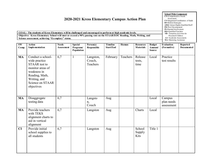**GOAL: The students of Kress Elementary will be challenged and encouraged to perform at high academic levels. Objective: Kress Elementary School will meet or exceed a 90% passing rate on the STAAR/EOC Reading, Math, Writing, and Science assessment, achieving "Exemplary" status.**

**SW Comp. Action Imple mentation Needs Assess ment Special Programs/ Population Person(s) Responsible Timeline Start/End Human Resources Materials Budget Amount/ Source Evaluation (Formative) Reported Documented** MA Conduct a schoolwide practice STAAR test to monitor areas of weakness in Reading, Math, Writing, and Science on STAAR objectives 6,7 1 Langston, Couch, Teachers February | Teachers | Release tests, time Local Practice test results **MA** Disaggregate testing data 6,7 Langsto n, Couch Aug | | | | | Local | Campus plan needs assessment **MA** Provide teachers with TEKS alignment charts to aid in vertical alignment 6,7 Langston Aug Charts Local **CI** Provide initial school supplies to all students 6,7 Langston Aug School Supply Kits Title 1

**School Wide Component CN=**Comprehensive Needs Assessment **CI=**Integration/Coordination o f funds **RF-**Reform Strate gies **AHQ=**Attract Highly Qualified Sta ff **PD=**Pro f. Developme nt **PI=**Parental Involveme nt **HQ=**Qualified Teachers **TR**= Transition Activit ies for Preschool Children **AA**=Acade mic Assessments **MA**=Mastering Assistance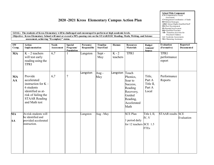**GOAL: The students of Kress Elementary will be challenged and encouraged to perform at high academic levels.** Objective: Kress Elementary School will meet or exceed a 90% passing rate on the STAAR/EOC Reading, Math, Writing, and Science **assessment, achieving "Exemplary" status.**

| SW<br>Comp.                             | <b>Action</b><br><b>I</b> mplementation                                                                                                            | <b>Needs</b><br>Assess ment | <b>Special</b><br>Programs/<br>Population | Person(s)<br>Responsible | Timeline<br>Start/End | Human               | <b>Resources</b><br><b>Materials</b>                                                                          | <b>Budget</b><br>Amount/<br><b>Source</b>        | <b>Evaluation</b><br>(Formative)     | <b>Reported</b><br><b>Documented</b> |
|-----------------------------------------|----------------------------------------------------------------------------------------------------------------------------------------------------|-----------------------------|-------------------------------------------|--------------------------|-----------------------|---------------------|---------------------------------------------------------------------------------------------------------------|--------------------------------------------------|--------------------------------------|--------------------------------------|
| <b>MA</b>                               | $K - 2$ teachers<br>will test early<br>reading using the<br><b>TPRI</b>                                                                            | 6,7                         |                                           | Langston                 | Sept -<br>May         | $K - 2$<br>teachers | <b>TPRI</b>                                                                                                   |                                                  | <b>TPRI</b><br>performance<br>report |                                      |
| <b>MA</b><br>AA                         | Provide<br>accelerated<br>instruction for $K -$<br>6 students<br>identified as at-<br>risk of failing the<br><b>STAAR Reading</b><br>and Math test | 6,7                         | $\overline{7}$                            | Langston                 | Aug -<br>May          | Langston            | Touch<br>Phonics,<br>Soar to<br>Success,<br>Reading<br>Recovery,<br>Guided<br>Reading,<br>Accelerated<br>Math | Title,<br>Part A<br>Title II,<br>Part A<br>Local | Performance<br>Reports               |                                      |
| $\overline{\mathbf{M}}\mathbf{A}$<br>AA | At-risk students will<br>be identified and<br>provided accelerated<br>instruction.                                                                 |                             |                                           | Langston                 | Aug - May             |                     | <b>SCE Plan</b><br>1 period daily<br>for 12 teachers SCE 1.5                                                  | Title I, II,<br>IV, V<br><b>FTEs</b>             | <b>STAAR</b> results SCE             | Evaluation                           |
|                                         |                                                                                                                                                    |                             |                                           |                          |                       |                     |                                                                                                               |                                                  |                                      |                                      |

**School Wide Component CN=**Comprehensive Needs Assessment **CI=**Integration/Coordination o f funds **RF-**Reform Strate gies **AHQ=**Attract Highly Qualified Sta ff **PD=**Pro f. Developme nt **PI=**Parental Involveme nt **HQ=**Qualified Teachers **TR**= Transition Activit ies for Preschool Children **AA**=Acade mic Assessme nts **MA**=Mastering Assista nce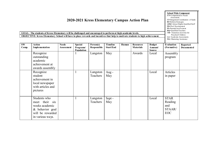|                              | GOAL: The students of Kress Elementary will be challenged and encouraged to perform at high academic levels.<br>OBJECTIVE: Kress Elementary School will have in place rew ards and incentives that help to motivate students to high achievement. |                             |                                           |                          |                                     |       |                                      |                                           | <b>RF-Reform Strategies</b><br>AHQ=Attract Highly Qualified Staff<br>PD=Prof. Development<br>PI=Parental Involvement<br>HO=Qualified Teachers<br>TR= Transition Activities for<br>Preschool Children<br>AA=Academic Assessments<br>MA=Mastering Assistance |                                      |
|------------------------------|---------------------------------------------------------------------------------------------------------------------------------------------------------------------------------------------------------------------------------------------------|-----------------------------|-------------------------------------------|--------------------------|-------------------------------------|-------|--------------------------------------|-------------------------------------------|------------------------------------------------------------------------------------------------------------------------------------------------------------------------------------------------------------------------------------------------------------|--------------------------------------|
| $\overline{\bf SW}$<br>Comp. | <b>Action</b><br>Implementation                                                                                                                                                                                                                   | <b>Needs</b><br>Assess ment | <b>Special</b><br>Programs/<br>Population | Person(s)<br>Responsible | <b>Timeline</b><br><b>Start/End</b> | Human | <b>Resources</b><br><b>Materials</b> | <b>Budget</b><br>Amount/<br><b>Source</b> | <b>Evaluation</b><br>(Formative)                                                                                                                                                                                                                           | <b>Reported</b><br><b>Documented</b> |
|                              | Recognize<br>outstanding<br>academic<br>achievement at<br>awards assembly<br>Recognize                                                                                                                                                            |                             | $\mathbf{1}$                              | Langston<br>Langston     | May<br>Aug -                        |       | Awards                               | Local<br>Local                            | Assembly<br>program<br>Articles                                                                                                                                                                                                                            |                                      |
|                              | student<br>achievement in<br>local newspaper<br>with articles and<br>pictures                                                                                                                                                                     |                             |                                           | Teachers                 | May                                 |       |                                      |                                           | in paper                                                                                                                                                                                                                                                   |                                      |
|                              | Students who<br>meet their six<br>weeks academic<br>& behavior goal<br>will be rewarded<br>in various ways.                                                                                                                                       |                             | $\mathbf{1}$                              | Langston<br>Teachers     | Sept -<br>May                       |       |                                      | Local                                     | <b>STAR</b><br>Reading<br>and<br>STAAR/<br><b>EOC</b>                                                                                                                                                                                                      |                                      |

**School Wide Component CN=**Comprehensive Needs Assessment

**CI=**Integration/Coordination o f funds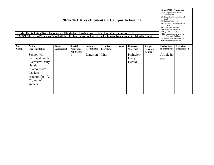**School Wide Component CN=**Comprehensive Needs Assessment **CI=**Integration/Coordination of

funds **RF-**Reform Strate gies **AHQ=**Attract Highly Qualified Staff **PD=**Pro f. Developme nt **PI=**Parental Involveme nt **HQ=**Qualified Teachers **TR**= Transition Activit ies for Preschool Children **AA**=Acade mic Assessments **MA**=Mastering Assista nce

**GOAL: The students of Kress Elementary will be challenged and encouraged to perform at high academic levels. OBJECTIVE: Kress Elementary School will have in place rewards and incentives that help motivate students to high achievement.**

| <b>SW</b> | Action                                                                 | <b>Needs</b>      | <b>Special</b> | Person(s)   | Timeline  | Human | <b>Resources</b> | <b>Budget</b> | <b>Evaluation</b> | Reported   |
|-----------|------------------------------------------------------------------------|-------------------|----------------|-------------|-----------|-------|------------------|---------------|-------------------|------------|
| Comp.     | <b>I</b> mplementation                                                 | <b>Assessment</b> | Programs/      | Responsible | Start/End |       | <b>Materials</b> | Amount/       | (Formative)       | Documented |
|           |                                                                        |                   | Population     |             |           |       |                  | <b>Source</b> |                   |            |
|           | School will                                                            |                   |                | Langston    | May       |       | Plainview        |               | Article in        |            |
|           | participate in the                                                     |                   |                |             |           |       | Daily            |               | paper             |            |
|           | Plainview Daily                                                        |                   |                |             |           |       | Herald           |               |                   |            |
|           | Herald's                                                               |                   |                |             |           |       |                  |               |                   |            |
|           | "Tomorrow's                                                            |                   |                |             |           |       |                  |               |                   |            |
|           | Leaders"                                                               |                   |                |             |           |       |                  |               |                   |            |
|           |                                                                        |                   |                |             |           |       |                  |               |                   |            |
|           | program for $4^{\text{th}}$ ,<br>5 <sup>th</sup> , and 6 <sup>th</sup> |                   |                |             |           |       |                  |               |                   |            |
|           | graders                                                                |                   |                |             |           |       |                  |               |                   |            |
|           |                                                                        |                   |                |             |           |       |                  |               |                   |            |
|           |                                                                        |                   |                |             |           |       |                  |               |                   |            |
|           |                                                                        |                   |                |             |           |       |                  |               |                   |            |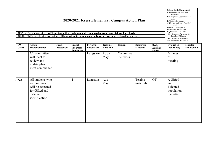|             | 2020-2021 Kress Elementary Campus Action Plan<br>GOAL: The students of Kress Elementary will be challenged and encouraged to perform at high academic levels.<br>OBJECTIVE: Accelerated instruction will be provided to those students who perform at an exceptional high level. |                                   |                                           |                          |                                     |                      |                                      |                                           |                                                         |                        |  |
|-------------|----------------------------------------------------------------------------------------------------------------------------------------------------------------------------------------------------------------------------------------------------------------------------------|-----------------------------------|-------------------------------------------|--------------------------|-------------------------------------|----------------------|--------------------------------------|-------------------------------------------|---------------------------------------------------------|------------------------|--|
| SW<br>Comp. | <b>Action</b><br><b>Implementation</b>                                                                                                                                                                                                                                           | <b>Needs</b><br><b>Assessment</b> | <b>Special</b><br>Programs/<br>Population | Person(s)<br>Responsible | <b>Timeline</b><br><b>Start/End</b> | Human                | <b>Resources</b><br><b>Materials</b> | <b>Budget</b><br>Amount/<br><b>Source</b> | <b>Evaluation</b><br>(Formative)                        | Reported<br>Documented |  |
|             | GT committee<br>will meet to<br>review and<br>update plan to<br>meet compliance                                                                                                                                                                                                  |                                   |                                           | Langston                 | Aug -<br>May                        | Committee<br>members |                                      |                                           | Minutes<br>of<br>meeting                                |                        |  |
| outh        | All students who<br>are nominated<br>will be screened<br>for Gifted and<br>Talented<br>identification                                                                                                                                                                            |                                   | 1                                         | Langston                 | Aug-<br>May                         |                      | Testing<br>materials                 | <b>GT</b>                                 | A Gifted<br>and<br>Talented<br>population<br>identified |                        |  |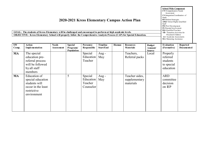| GOAL: The students of Kress Elementary will be challenged and encouraged to perform at high academic levels.<br><b>OBJECTIVE: Kress Elementary School will properly follow the Comprehensive Analysis Process (CAP) for Special Education.</b> | <b>School Wide Component</b><br>CN=Comprehensive Needs<br>Assessment<br>CI=Integration/Coordination of<br>funds<br><b>RF-Reform Strategies</b><br>AHQ=Attract Highly Qualified<br>Staff<br><b>PD=Prof.</b> Development<br><b>PI=Parental Involvement</b><br>HO=Oualified Teachers<br>TR= Transition Activities for<br>Preschool Children<br>$AA = Acade$ mic Assessments<br>MA=Mastering Assistance |                                   |                                           |                                              |                              |       |                                              |                                           |                                                             |                               |
|------------------------------------------------------------------------------------------------------------------------------------------------------------------------------------------------------------------------------------------------|-----------------------------------------------------------------------------------------------------------------------------------------------------------------------------------------------------------------------------------------------------------------------------------------------------------------------------------------------------------------------------------------------------|-----------------------------------|-------------------------------------------|----------------------------------------------|------------------------------|-------|----------------------------------------------|-------------------------------------------|-------------------------------------------------------------|-------------------------------|
| SW<br>Comp.                                                                                                                                                                                                                                    | <b>Action</b><br>Implementation                                                                                                                                                                                                                                                                                                                                                                     | <b>Needs</b><br><b>Assessment</b> | <b>Special</b><br>Programs/<br>Population | Person(s)<br>Responsible                     | <b>Timeline</b><br>Start/End | Human | <b>Resources</b><br><b>Materials</b>         | <b>Budget</b><br>Amount/<br><b>Source</b> | <b>Evaluation</b><br>(Formative)                            | Reported<br><b>Documented</b> |
| <b>MA</b>                                                                                                                                                                                                                                      | The special<br>education pre-<br>referral process<br>will be followed<br>by all staff<br>members                                                                                                                                                                                                                                                                                                    |                                   |                                           | Special<br>Education<br>Teacher              | Aug -<br>May                 |       | Teachers,<br>Referral packs                  | Local                                     | Properly<br>referred<br>students<br>to special<br>education |                               |
| <b>MA</b>                                                                                                                                                                                                                                      | Education of<br>special education<br>students will<br>occur in the least<br>restrictive<br>environment                                                                                                                                                                                                                                                                                              |                                   | 5                                         | Special<br>Education<br>Teacher<br>Counselor | Aug -<br>May                 |       | Teacher aides,<br>supplementary<br>materials |                                           | <b>ARD</b><br>committee<br>decision<br>on IEP               |                               |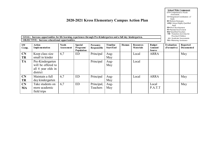| GOAL: Increase opportunities for life learning experiences through Pre-Kindergarten and a full day kindergarten.<br><b>OBJECTIVE:</b> Increase educational opportunities. | AHQ=Attract Highly Qualified<br>Staff<br>PD=Prof. Development<br>PI=Parental Involvement<br>HQ=Qualified Teachers<br><b>TR</b> = Transition Activities for<br>Preschool Children<br>AA=Academic Assessments<br>MA=Mastering Assistance |                             |                                           |                          |                                     |       |                                      |                                     |                                  |                               |
|---------------------------------------------------------------------------------------------------------------------------------------------------------------------------|----------------------------------------------------------------------------------------------------------------------------------------------------------------------------------------------------------------------------------------|-----------------------------|-------------------------------------------|--------------------------|-------------------------------------|-------|--------------------------------------|-------------------------------------|----------------------------------|-------------------------------|
| <b>SW</b><br>Comp.                                                                                                                                                        | Action<br><b>I</b> mplementation                                                                                                                                                                                                       | <b>Needs</b><br>Assess ment | <b>Special</b><br>Programs/<br>Population | Person(s)<br>Responsible | <b>Timeline</b><br><b>Start/End</b> | Human | <b>Resources</b><br><b>Materials</b> | <b>Budget</b><br>A mount/<br>Source | <b>Evaluation</b><br>(Formative) | Reported<br><b>Documented</b> |
| CN<br><b>TR</b>                                                                                                                                                           | Keep class size<br>small in kinder                                                                                                                                                                                                     | 6,7                         | <b>ED</b>                                 | Principal                | Aug-<br>May                         |       | Local                                | <b>ARRA</b>                         |                                  | May                           |
| <b>TA</b>                                                                                                                                                                 | Pre-Kindergarten<br>will be offered to<br>all 4 year olds in<br>district                                                                                                                                                               |                             |                                           | Principal                | Aug-<br>May                         |       | Local                                |                                     |                                  |                               |
| CN<br>TR                                                                                                                                                                  | Maintain a full<br>day kindergarten                                                                                                                                                                                                    | 6,7                         | <b>ED</b>                                 | Principal                | Aug-<br>May                         |       | Local                                | <b>ARRA</b>                         |                                  | May                           |
| CN<br><b>MA</b>                                                                                                                                                           | Take students on<br>more academic<br>field trips                                                                                                                                                                                       | 6,7                         | <b>ED</b>                                 | Principal,<br>Teachers   | Aug-<br>May                         |       |                                      | Local<br>P.A.T.T                    |                                  | May                           |

**School Wide Component CN=**Comprehensive Needs Assessment **CI=**Integration/Coordination of

funds **RF-**Reform Strate gies